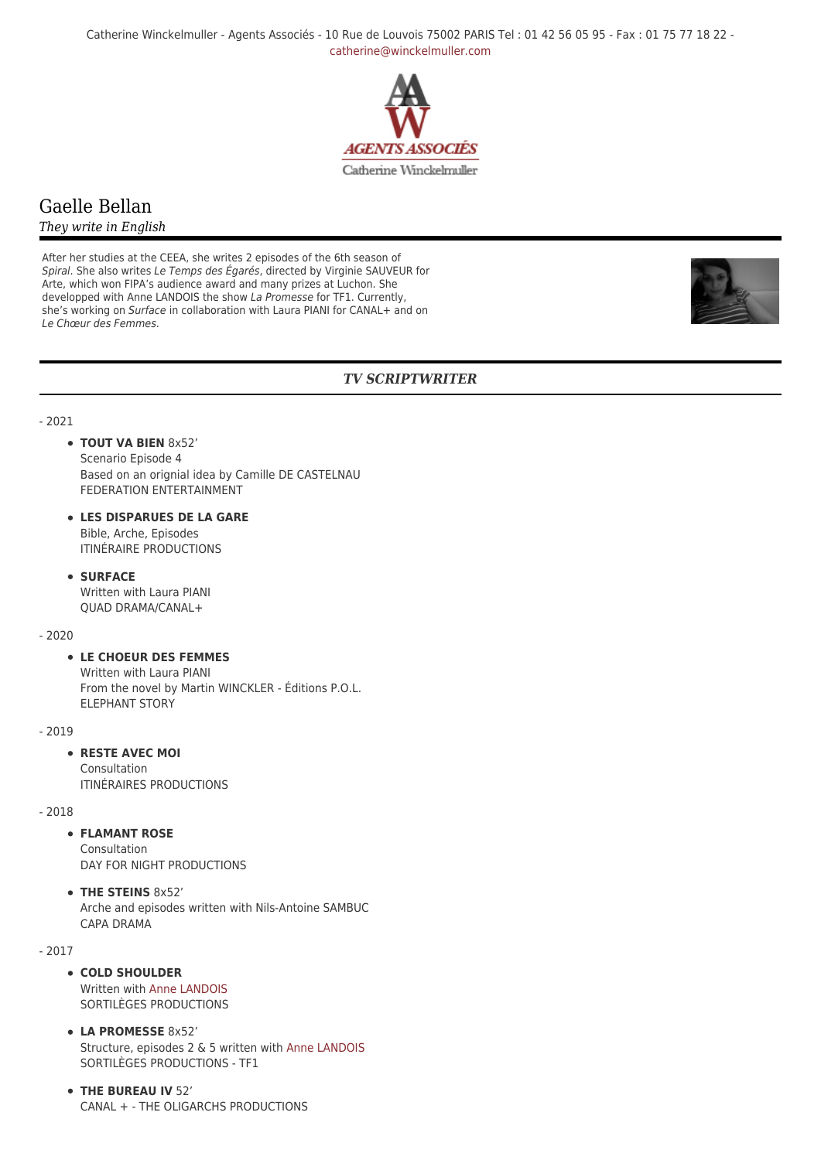Catherine Winckelmuller - Agents Associés - 10 Rue de Louvois 75002 PARIS Tel : 01 42 56 05 95 - Fax : 01 75 77 18 22 [catherine@winckelmuller.com](mailto:catherine@winckelmuller.com)



# Gaelle Bellan

### *They write in English*

After her studies at the CEEA, she writes 2 episodes of the 6th season of Spiral. She also writes Le Temps des Égarés, directed by Virginie SAUVEUR for Arte, which won FIPA's audience award and many prizes at Luchon. She developped with Anne LANDOIS the show La Promesse for TF1. Currently, she's working on Surface in collaboration with Laura PIANI for CANAL+ and on Le Chœur des Femmes.



# *TV SCRIPTWRITER*

- 2021

- **TOUT VA BIEN** 8x52' Scenario Episode 4 Based on an orignial idea by Camille DE CASTELNAU FEDERATION ENTERTAINMENT
- **LES DISPARUES DE LA GARE** Bible, Arche, Episodes ITINÉRAIRE PRODUCTIONS
- **SURFACE** Written with Laura PIANI QUAD DRAMA/CANAL+

 $-2020$ 

### **LE CHOEUR DES FEMMES**

Written with Laura PIANI From the novel by Martin WINCKLER - Éditions P.O.L. ELEPHANT STORY

- 2019

### **RESTE AVEC MOI**

Consultation ITINÉRAIRES PRODUCTIONS

- 2018

# **FLAMANT ROSE**

Consultation DAY FOR NIGHT PRODUCTIONS

**THE STEINS** 8x52' Arche and episodes written with Nils-Antoine SAMBUC CAPA DRAMA

- 2017

- **COLD SHOULDER** Written with [Anne LANDOIS](https://www.winckelmuller.com/Landois.html) SORTILÈGES PRODUCTIONS
- **LA PROMESSE** 8x52' Structure, episodes 2 & 5 written with [Anne LANDOIS](https://www.winckelmuller.com/Landois.html) SORTILÈGES PRODUCTIONS - TF1
- **THE BUREAU IV** 52' CANAL + - THE OLIGARCHS PRODUCTIONS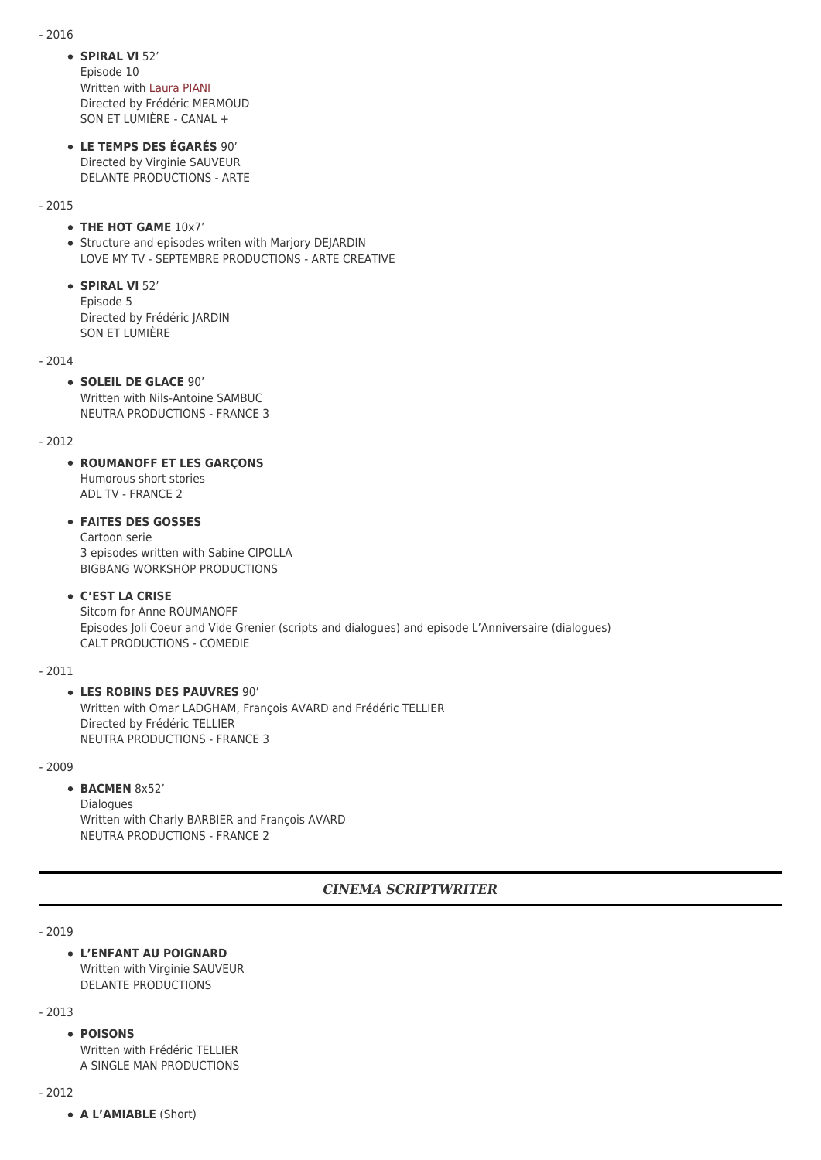- 2016

**SPIRAL VI** 52'

Episode 10 Written with [Laura PIANI](https://www.winckelmuller.com/Piani,169.html) Directed by Frédéric MERMOUD SON ET LUMIÈRE - CANAL +

**LE TEMPS DES ÉGARÉS** 90' Directed by Virginie SAUVEUR DELANTE PRODUCTIONS - ARTE

### - 2015

### **THE HOT GAME** 10x7'

• Structure and episodes writen with Marjory DEJARDIN LOVE MY TV - SEPTEMBRE PRODUCTIONS - ARTE CREATIVE

**SPIRAL VI** 52' Episode 5 Directed by Frédéric JARDIN SON ET LUMIÈRE

- 2014

# **SOLEIL DE GLACE** 90'

Written with Nils-Antoine SAMBUC NEUTRA PRODUCTIONS - FRANCE 3

### - 2012

# **ROUMANOFF ET LES GARÇONS**

Humorous short stories ADL TV - FRANCE 2

# **FAITES DES GOSSES**

Cartoon serie 3 episodes written with Sabine CIPOLLA BIGBANG WORKSHOP PRODUCTIONS

### **C'EST LA CRISE**

Sitcom for Anne ROUMANOFF Episodes Joli Coeur and Vide Grenier (scripts and dialogues) and episode L'Anniversaire (dialogues) CALT PRODUCTIONS - COMEDIE

- 2011

# **LES ROBINS DES PAUVRES** 90'

Written with Omar LADGHAM, François AVARD and Frédéric TELLIER Directed by Frédéric TELLIER NEUTRA PRODUCTIONS - FRANCE 3

- 2009

### **BACMEN** 8x52'

Dialogues Written with Charly BARBIER and François AVARD NEUTRA PRODUCTIONS - FRANCE 2

# *CINEMA SCRIPTWRITER*

### - 2019

# **L'ENFANT AU POIGNARD**

Written with Virginie SAUVEUR DELANTE PRODUCTIONS

- 2013

### **POISONS**

Written with Frédéric TFLLIFR A SINGLE MAN PRODUCTIONS

- 2012

**A L'AMIABLE** (Short)